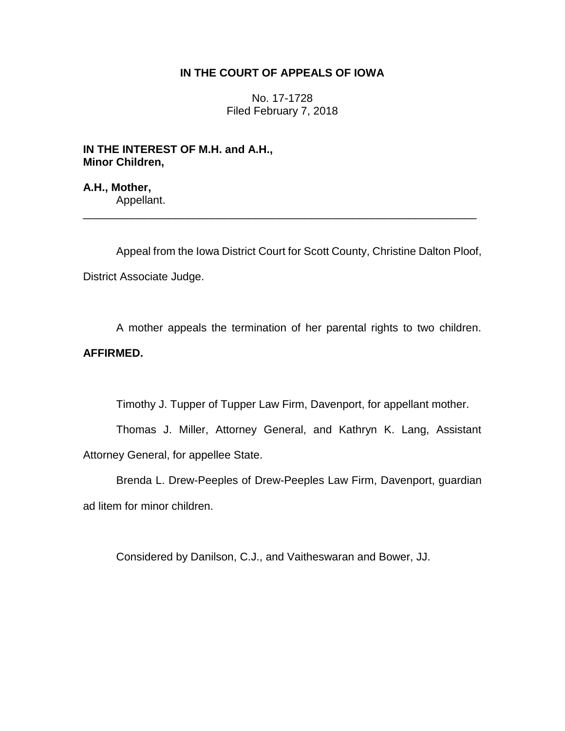## **IN THE COURT OF APPEALS OF IOWA**

No. 17-1728 Filed February 7, 2018

**IN THE INTEREST OF M.H. and A.H., Minor Children,**

**A.H., Mother,** Appellant.

Appeal from the Iowa District Court for Scott County, Christine Dalton Ploof, District Associate Judge.

\_\_\_\_\_\_\_\_\_\_\_\_\_\_\_\_\_\_\_\_\_\_\_\_\_\_\_\_\_\_\_\_\_\_\_\_\_\_\_\_\_\_\_\_\_\_\_\_\_\_\_\_\_\_\_\_\_\_\_\_\_\_\_\_

A mother appeals the termination of her parental rights to two children. **AFFIRMED.**

Timothy J. Tupper of Tupper Law Firm, Davenport, for appellant mother.

Thomas J. Miller, Attorney General, and Kathryn K. Lang, Assistant Attorney General, for appellee State.

Brenda L. Drew-Peeples of Drew-Peeples Law Firm, Davenport, guardian ad litem for minor children.

Considered by Danilson, C.J., and Vaitheswaran and Bower, JJ.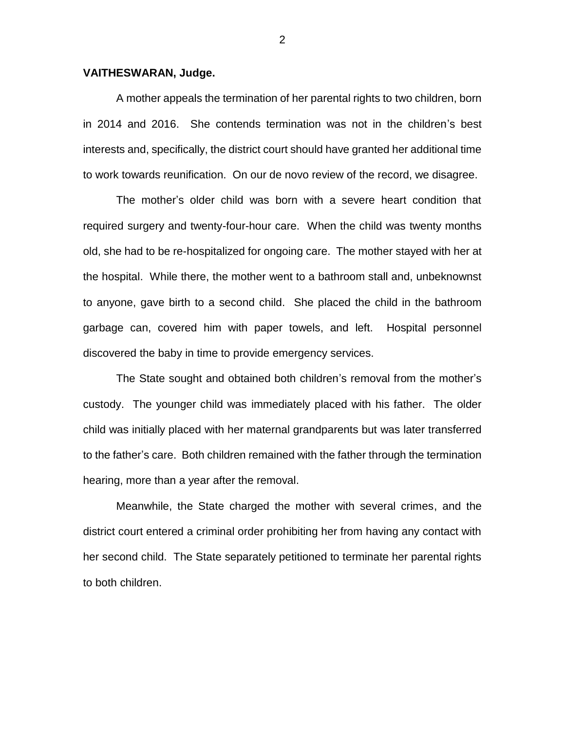## **VAITHESWARAN, Judge.**

A mother appeals the termination of her parental rights to two children, born in 2014 and 2016. She contends termination was not in the children's best interests and, specifically, the district court should have granted her additional time to work towards reunification. On our de novo review of the record, we disagree.

The mother's older child was born with a severe heart condition that required surgery and twenty-four-hour care. When the child was twenty months old, she had to be re-hospitalized for ongoing care. The mother stayed with her at the hospital. While there, the mother went to a bathroom stall and, unbeknownst to anyone, gave birth to a second child. She placed the child in the bathroom garbage can, covered him with paper towels, and left. Hospital personnel discovered the baby in time to provide emergency services.

The State sought and obtained both children's removal from the mother's custody. The younger child was immediately placed with his father. The older child was initially placed with her maternal grandparents but was later transferred to the father's care. Both children remained with the father through the termination hearing, more than a year after the removal.

Meanwhile, the State charged the mother with several crimes, and the district court entered a criminal order prohibiting her from having any contact with her second child. The State separately petitioned to terminate her parental rights to both children.

2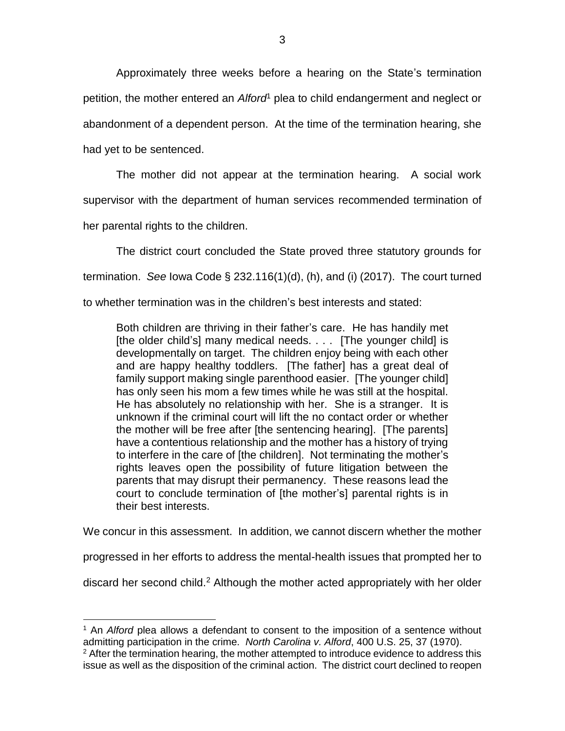Approximately three weeks before a hearing on the State's termination petition, the mother entered an *Alford*<sup>1</sup> plea to child endangerment and neglect or abandonment of a dependent person. At the time of the termination hearing, she had yet to be sentenced.

The mother did not appear at the termination hearing. A social work supervisor with the department of human services recommended termination of her parental rights to the children.

The district court concluded the State proved three statutory grounds for termination. *See* Iowa Code § 232.116(1)(d), (h), and (i) (2017). The court turned to whether termination was in the children's best interests and stated:

Both children are thriving in their father's care. He has handily met [the older child's] many medical needs. . . . [The younger child] is developmentally on target. The children enjoy being with each other and are happy healthy toddlers. [The father] has a great deal of family support making single parenthood easier. [The younger child] has only seen his mom a few times while he was still at the hospital. He has absolutely no relationship with her. She is a stranger. It is unknown if the criminal court will lift the no contact order or whether the mother will be free after [the sentencing hearing]. [The parents] have a contentious relationship and the mother has a history of trying to interfere in the care of [the children]. Not terminating the mother's rights leaves open the possibility of future litigation between the parents that may disrupt their permanency. These reasons lead the court to conclude termination of [the mother's] parental rights is in their best interests.

We concur in this assessment. In addition, we cannot discern whether the mother

progressed in her efforts to address the mental-health issues that prompted her to

discard her second child.<sup>2</sup> Although the mother acted appropriately with her older

 $\overline{a}$ 

<sup>1</sup> An *Alford* plea allows a defendant to consent to the imposition of a sentence without admitting participation in the crime. *North Carolina v. Alford*, 400 U.S. 25, 37 (1970).

 $2$  After the termination hearing, the mother attempted to introduce evidence to address this issue as well as the disposition of the criminal action. The district court declined to reopen